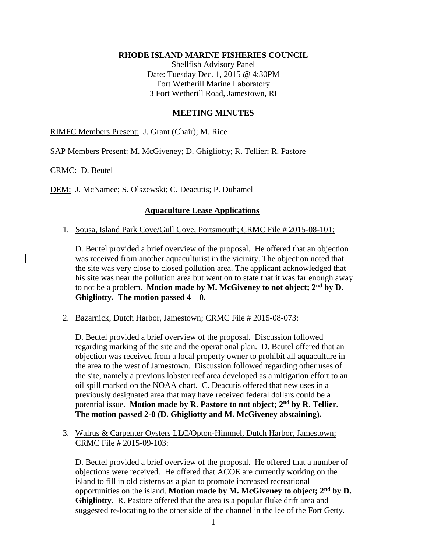### **RHODE ISLAND MARINE FISHERIES COUNCIL**

Shellfish Advisory Panel Date: Tuesday Dec. 1, 2015 @ 4:30PM Fort Wetherill Marine Laboratory 3 Fort Wetherill Road, Jamestown, RI

### **MEETING MINUTES**

RIMFC Members Present: J. Grant (Chair); M. Rice

SAP Members Present: M. McGiveney; D. Ghigliotty; R. Tellier; R. Pastore

CRMC: D. Beutel

DEM: J. McNamee; S. Olszewski; C. Deacutis; P. Duhamel

# **Aquaculture Lease Applications**

1. Sousa, Island Park Cove/Gull Cove, Portsmouth; CRMC File # 2015-08-101:

D. Beutel provided a brief overview of the proposal. He offered that an objection was received from another aquaculturist in the vicinity. The objection noted that the site was very close to closed pollution area. The applicant acknowledged that his site was near the pollution area but went on to state that it was far enough away to not be a problem. **Motion made by M. McGiveney to not object; 2nd by D. Ghigliotty. The motion passed 4 – 0.** 

2. Bazarnick, Dutch Harbor, Jamestown; CRMC File # 2015-08-073:

D. Beutel provided a brief overview of the proposal. Discussion followed regarding marking of the site and the operational plan. D. Beutel offered that an objection was received from a local property owner to prohibit all aquaculture in the area to the west of Jamestown. Discussion followed regarding other uses of the site, namely a previous lobster reef area developed as a mitigation effort to an oil spill marked on the NOAA chart. C. Deacutis offered that new uses in a previously designated area that may have received federal dollars could be a potential issue. **Motion made by R. Pastore to not object; 2nd by R. Tellier. The motion passed 2-0 (D. Ghigliotty and M. McGiveney abstaining).**

3. Walrus & Carpenter Oysters LLC/Opton-Himmel, Dutch Harbor, Jamestown; CRMC File # 2015-09-103:

D. Beutel provided a brief overview of the proposal. He offered that a number of objections were received. He offered that ACOE are currently working on the island to fill in old cisterns as a plan to promote increased recreational opportunities on the island. **Motion made by M. McGiveney to object; 2nd by D. Ghigliotty**. R. Pastore offered that the area is a popular fluke drift area and suggested re-locating to the other side of the channel in the lee of the Fort Getty.